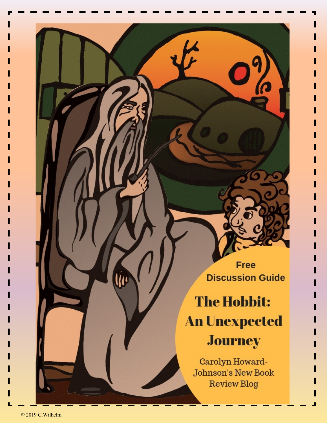**Free Discussion Guide** 

# **The Hobbit: An Unexpected Journey**

Carolyn Howard-**Johnson's New Book Review Blog** 

llu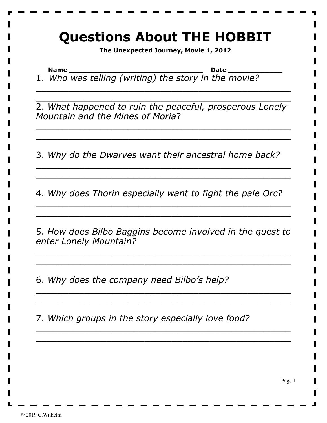#### **Questions About THE HOBBIT**

**The Unexpected Journey, Movie 1, 2012**

**Name \_\_\_\_\_\_\_\_\_\_\_\_\_\_\_\_\_\_\_\_\_\_\_\_\_\_\_\_\_\_\_\_ Date \_\_\_\_\_\_\_\_\_\_\_\_\_** 1. *Who was telling (writing) the story in the movie?*

2. *What happened to ruin the peaceful, prosperous Lonely Mountain and the Mines of Moria*?

\_\_\_\_\_\_\_\_\_\_\_\_\_\_\_\_\_\_\_\_\_\_\_\_\_\_\_\_\_\_\_\_\_\_\_\_\_\_\_\_\_\_\_\_\_\_\_ \_\_\_\_\_\_\_\_\_\_\_\_\_\_\_\_\_\_\_\_\_\_\_\_\_\_\_\_\_\_\_\_\_\_\_\_\_\_\_\_\_\_\_\_\_\_\_

\_\_\_\_\_\_\_\_\_\_\_\_\_\_\_\_\_\_\_\_\_\_\_\_\_\_\_\_\_\_\_\_\_\_\_\_\_\_\_\_\_\_\_\_\_\_\_ \_\_\_\_\_\_\_\_\_\_\_\_\_\_\_\_\_\_\_\_\_\_\_\_\_\_\_\_\_\_\_\_\_\_\_\_\_\_\_\_\_\_\_\_\_\_\_

3. *Why do the Dwarves want their ancestral home back?*

\_\_\_\_\_\_\_\_\_\_\_\_\_\_\_\_\_\_\_\_\_\_\_\_\_\_\_\_\_\_\_\_\_\_\_\_\_\_\_\_\_\_\_\_\_\_\_ \_\_\_\_\_\_\_\_\_\_\_\_\_\_\_\_\_\_\_\_\_\_\_\_\_\_\_\_\_\_\_\_\_\_\_\_\_\_\_\_\_\_\_\_\_\_\_

4. *Why does Thorin especially want to fight the pale Orc?*

\_\_\_\_\_\_\_\_\_\_\_\_\_\_\_\_\_\_\_\_\_\_\_\_\_\_\_\_\_\_\_\_\_\_\_\_\_\_\_\_\_\_\_\_\_\_\_ \_\_\_\_\_\_\_\_\_\_\_\_\_\_\_\_\_\_\_\_\_\_\_\_\_\_\_\_\_\_\_\_\_\_\_\_\_\_\_\_\_\_\_\_\_\_\_

5. *How does Bilbo Baggins become involved in the quest to enter Lonely Mountain?*

\_\_\_\_\_\_\_\_\_\_\_\_\_\_\_\_\_\_\_\_\_\_\_\_\_\_\_\_\_\_\_\_\_\_\_\_\_\_\_\_\_\_\_\_\_\_\_ \_\_\_\_\_\_\_\_\_\_\_\_\_\_\_\_\_\_\_\_\_\_\_\_\_\_\_\_\_\_\_\_\_\_\_\_\_\_\_\_\_\_\_\_\_\_\_

\_\_\_\_\_\_\_\_\_\_\_\_\_\_\_\_\_\_\_\_\_\_\_\_\_\_\_\_\_\_\_\_\_\_\_\_\_\_\_\_\_\_\_\_\_\_\_ \_\_\_\_\_\_\_\_\_\_\_\_\_\_\_\_\_\_\_\_\_\_\_\_\_\_\_\_\_\_\_\_\_\_\_\_\_\_\_\_\_\_\_\_\_\_\_

\_\_\_\_\_\_\_\_\_\_\_\_\_\_\_\_\_\_\_\_\_\_\_\_\_\_\_\_\_\_\_\_\_\_\_\_\_\_\_\_\_\_\_\_\_\_\_  $\overline{\phantom{a}}$  , and the contract of the contract of the contract of the contract of the contract of the contract of the contract of the contract of the contract of the contract of the contract of the contract of the contrac

6. *Why does the company need Bilbo's help?*

7. *Which groups in the story especially love food?*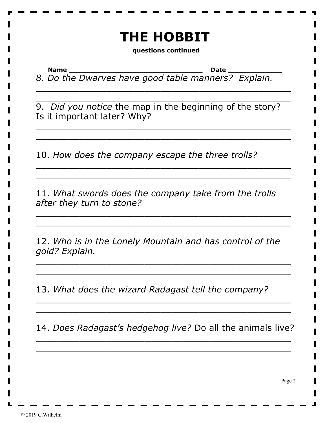## **THE HOBBIT**

**questions continued**

**Name \_\_\_\_\_\_\_\_\_\_\_\_\_\_\_\_\_\_\_\_\_\_\_\_\_\_\_\_\_\_\_\_ Date \_\_\_\_\_\_\_\_\_\_\_\_\_**

*8. Do the Dwarves have good table manners? Explain.*

\_\_\_\_\_\_\_\_\_\_\_\_\_\_\_\_\_\_\_\_\_\_\_\_\_\_\_\_\_\_\_\_\_\_\_\_\_\_\_\_\_\_\_\_\_\_\_ \_\_\_\_\_\_\_\_\_\_\_\_\_\_\_\_\_\_\_\_\_\_\_\_\_\_\_\_\_\_\_\_\_\_\_\_\_\_\_\_\_\_\_\_\_\_\_

9. *Did you notice* the map in the beginning of the story? Is it important later? Why?

\_\_\_\_\_\_\_\_\_\_\_\_\_\_\_\_\_\_\_\_\_\_\_\_\_\_\_\_\_\_\_\_\_\_\_\_\_\_\_\_\_\_\_\_\_\_\_ \_\_\_\_\_\_\_\_\_\_\_\_\_\_\_\_\_\_\_\_\_\_\_\_\_\_\_\_\_\_\_\_\_\_\_\_\_\_\_\_\_\_\_\_\_\_\_

\_\_\_\_\_\_\_\_\_\_\_\_\_\_\_\_\_\_\_\_\_\_\_\_\_\_\_\_\_\_\_\_\_\_\_\_\_\_\_\_\_\_\_\_\_\_\_ \_\_\_\_\_\_\_\_\_\_\_\_\_\_\_\_\_\_\_\_\_\_\_\_\_\_\_\_\_\_\_\_\_\_\_\_\_\_\_\_\_\_\_\_\_\_\_

10. *How does the company escape the three trolls?*

11. *What swords does the company take from the trolls after they turn to stone?*

\_\_\_\_\_\_\_\_\_\_\_\_\_\_\_\_\_\_\_\_\_\_\_\_\_\_\_\_\_\_\_\_\_\_\_\_\_\_\_\_\_\_\_\_\_\_\_ \_\_\_\_\_\_\_\_\_\_\_\_\_\_\_\_\_\_\_\_\_\_\_\_\_\_\_\_\_\_\_\_\_\_\_\_\_\_\_\_\_\_\_\_\_\_\_

12. *Who is in the Lonely Mountain and has control of the gold? Explain.*

\_\_\_\_\_\_\_\_\_\_\_\_\_\_\_\_\_\_\_\_\_\_\_\_\_\_\_\_\_\_\_\_\_\_\_\_\_\_\_\_\_\_\_\_\_\_\_ \_\_\_\_\_\_\_\_\_\_\_\_\_\_\_\_\_\_\_\_\_\_\_\_\_\_\_\_\_\_\_\_\_\_\_\_\_\_\_\_\_\_\_\_\_\_\_

13. *What does the wizard Radagast tell the company?*

14. *Does Radagast's hedgehog live?* Do all the animals live?

 $\overline{\phantom{a}}$  , and the contract of the contract of the contract of the contract of the contract of the contract of the contract of the contract of the contract of the contract of the contract of the contract of the contrac \_\_\_\_\_\_\_\_\_\_\_\_\_\_\_\_\_\_\_\_\_\_\_\_\_\_\_\_\_\_\_\_\_\_\_\_\_\_\_\_\_\_\_\_\_\_\_

\_\_\_\_\_\_\_\_\_\_\_\_\_\_\_\_\_\_\_\_\_\_\_\_\_\_\_\_\_\_\_\_\_\_\_\_\_\_\_\_\_\_\_\_\_\_\_ \_\_\_\_\_\_\_\_\_\_\_\_\_\_\_\_\_\_\_\_\_\_\_\_\_\_\_\_\_\_\_\_\_\_\_\_\_\_\_\_\_\_\_\_\_\_\_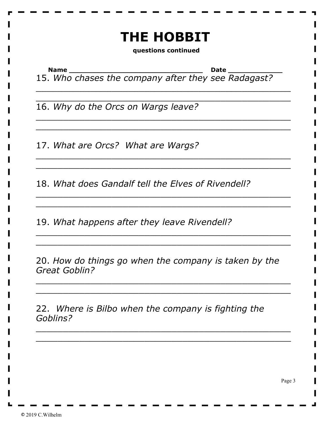### **THE HOBBIT**

**questions continued**

**Name \_\_\_\_\_\_\_\_\_\_\_\_\_\_\_\_\_\_\_\_\_\_\_\_\_\_\_\_\_\_\_\_ Date \_\_\_\_\_\_\_\_\_\_\_\_\_**

15. *Who chases the company after they see Radagast?*

\_\_\_\_\_\_\_\_\_\_\_\_\_\_\_\_\_\_\_\_\_\_\_\_\_\_\_\_\_\_\_\_\_\_\_\_\_\_\_\_\_\_\_\_\_\_\_ \_\_\_\_\_\_\_\_\_\_\_\_\_\_\_\_\_\_\_\_\_\_\_\_\_\_\_\_\_\_\_\_\_\_\_\_\_\_\_\_\_\_\_\_\_\_\_

\_\_\_\_\_\_\_\_\_\_\_\_\_\_\_\_\_\_\_\_\_\_\_\_\_\_\_\_\_\_\_\_\_\_\_\_\_\_\_\_\_\_\_\_\_\_\_ \_\_\_\_\_\_\_\_\_\_\_\_\_\_\_\_\_\_\_\_\_\_\_\_\_\_\_\_\_\_\_\_\_\_\_\_\_\_\_\_\_\_\_\_\_\_\_

\_\_\_\_\_\_\_\_\_\_\_\_\_\_\_\_\_\_\_\_\_\_\_\_\_\_\_\_\_\_\_\_\_\_\_\_\_\_\_\_\_\_\_\_\_\_\_ \_\_\_\_\_\_\_\_\_\_\_\_\_\_\_\_\_\_\_\_\_\_\_\_\_\_\_\_\_\_\_\_\_\_\_\_\_\_\_\_\_\_\_\_\_\_\_

\_\_\_\_\_\_\_\_\_\_\_\_\_\_\_\_\_\_\_\_\_\_\_\_\_\_\_\_\_\_\_\_\_\_\_\_\_\_\_\_\_\_\_\_\_\_\_ \_\_\_\_\_\_\_\_\_\_\_\_\_\_\_\_\_\_\_\_\_\_\_\_\_\_\_\_\_\_\_\_\_\_\_\_\_\_\_\_\_\_\_\_\_\_\_

\_\_\_\_\_\_\_\_\_\_\_\_\_\_\_\_\_\_\_\_\_\_\_\_\_\_\_\_\_\_\_\_\_\_\_\_\_\_\_\_\_\_\_\_\_\_\_ \_\_\_\_\_\_\_\_\_\_\_\_\_\_\_\_\_\_\_\_\_\_\_\_\_\_\_\_\_\_\_\_\_\_\_\_\_\_\_\_\_\_\_\_\_\_\_

16. *Why do the Orcs on Wargs leave?*

17. *What are Orcs? What are Wargs?* 

18. *What does Gandalf tell the Elves of Rivendell?*

19. *What happens after they leave Rivendell?*

20. *How do things go when the company is taken by the Great Goblin?*

\_\_\_\_\_\_\_\_\_\_\_\_\_\_\_\_\_\_\_\_\_\_\_\_\_\_\_\_\_\_\_\_\_\_\_\_\_\_\_\_\_\_\_\_\_\_\_ \_\_\_\_\_\_\_\_\_\_\_\_\_\_\_\_\_\_\_\_\_\_\_\_\_\_\_\_\_\_\_\_\_\_\_\_\_\_\_\_\_\_\_\_\_\_\_

\_\_\_\_\_\_\_\_\_\_\_\_\_\_\_\_\_\_\_\_\_\_\_\_\_\_\_\_\_\_\_\_\_\_\_\_\_\_\_\_\_\_\_\_\_\_\_  $\overline{\phantom{a}}$  , and the contract of the contract of the contract of the contract of the contract of the contract of the contract of the contract of the contract of the contract of the contract of the contract of the contrac

22. *Where is Bilbo when the company is fighting the Goblins?*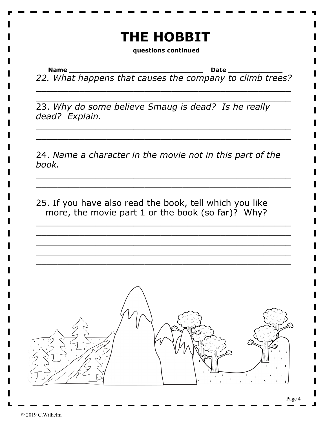# **THE HOBBIT**

**questions continued**

**Name \_\_\_\_\_\_\_\_\_\_\_\_\_\_\_\_\_\_\_\_\_\_\_\_\_\_\_\_\_\_\_\_ Date \_\_\_\_\_\_\_\_\_\_\_\_\_** *22. What happens that causes the company to climb trees?*

\_\_\_\_\_\_\_\_\_\_\_\_\_\_\_\_\_\_\_\_\_\_\_\_\_\_\_\_\_\_\_\_\_\_\_\_\_\_\_\_\_\_\_\_\_\_\_ \_\_\_\_\_\_\_\_\_\_\_\_\_\_\_\_\_\_\_\_\_\_\_\_\_\_\_\_\_\_\_\_\_\_\_\_\_\_\_\_\_\_\_\_\_\_\_

\_\_\_\_\_\_\_\_\_\_\_\_\_\_\_\_\_\_\_\_\_\_\_\_\_\_\_\_\_\_\_\_\_\_\_\_\_\_\_\_\_\_\_\_\_\_\_ \_\_\_\_\_\_\_\_\_\_\_\_\_\_\_\_\_\_\_\_\_\_\_\_\_\_\_\_\_\_\_\_\_\_\_\_\_\_\_\_\_\_\_\_\_\_\_

23. *Why do some believe Smaug is dead? Is he really dead? Explain.*

24. *Name a character in the movie not in this part of the book.*

\_\_\_\_\_\_\_\_\_\_\_\_\_\_\_\_\_\_\_\_\_\_\_\_\_\_\_\_\_\_\_\_\_\_\_\_\_\_\_\_\_\_\_\_\_\_\_ \_\_\_\_\_\_\_\_\_\_\_\_\_\_\_\_\_\_\_\_\_\_\_\_\_\_\_\_\_\_\_\_\_\_\_\_\_\_\_\_\_\_\_\_\_\_\_

\_\_\_\_\_\_\_\_\_\_\_\_\_\_\_\_\_\_\_\_\_\_\_\_\_\_\_\_\_\_\_\_\_\_\_\_\_\_\_\_\_\_\_\_\_\_\_ \_\_\_\_\_\_\_\_\_\_\_\_\_\_\_\_\_\_\_\_\_\_\_\_\_\_\_\_\_\_\_\_\_\_\_\_\_\_\_\_\_\_\_\_\_\_\_ \_\_\_\_\_\_\_\_\_\_\_\_\_\_\_\_\_\_\_\_\_\_\_\_\_\_\_\_\_\_\_\_\_\_\_\_\_\_\_\_\_\_\_\_\_\_\_ \_\_\_\_\_\_\_\_\_\_\_\_\_\_\_\_\_\_\_\_\_\_\_\_\_\_\_\_\_\_\_\_\_\_\_\_\_\_\_\_\_\_\_\_\_\_\_ \_\_\_\_\_\_\_\_\_\_\_\_\_\_\_\_\_\_\_\_\_\_\_\_\_\_\_\_\_\_\_\_\_\_\_\_\_\_\_\_\_\_\_\_\_\_\_

25. If you have also read the book, tell which you like more, the movie part 1 or the book (so far)? Why?

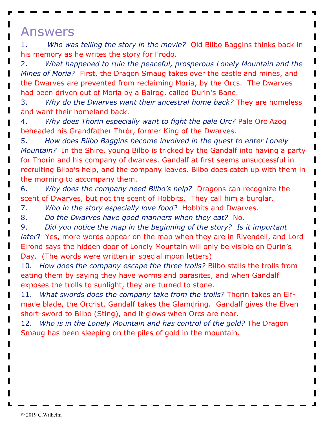#### Answers

1. *Who was telling the story in the movie?* Old Bilbo Baggins thinks back in his memory as he writes the story for Frodo.

2. *What happened to ruin the peaceful, prosperous Lonely Mountain and the Mines of Moria*? First, the Dragon Smaug takes over the castle and mines, and the Dwarves are prevented from reclaiming Moria, by the Orcs. The Dwarves had been driven out of Moria by a Balrog, called Durin's Bane.

3. *Why do the Dwarves want their ancestral home back?* They are homeless and want their homeland back.

4. *Why does Thorin especially want to fight the pale Orc?* Pale Orc Azog beheaded his Grandfather Thrór, former King of the Dwarves.

5. *How does Bilbo Baggins become involved in the quest to enter Lonely Mountain?* In the Shire, young Bilbo is tricked by the Gandalf into having a party for Thorin and his company of dwarves. Gandalf at first seems unsuccessful in recruiting Bilbo's help, and the company leaves. Bilbo does catch up with them in the morning to accompany them.

6. *Why does the company need Bilbo's help?* Dragons can recognize the scent of Dwarves, but not the scent of Hobbits. They call him a burglar.

- 7. *Who in the story especially love food?* Hobbits and Dwarves.
- 8. *Do the Dwarves have good manners when they eat?* No.

9. *Did you notice the map in the beginning of the story? Is it important later*? Yes, more words appear on the map when they are in Rivendell, and Lord Elrond says the hidden door of Lonely Mountain will only be visible on Durin's Day. (The words were written in special moon letters)

10. *How does the company escape the three trolls?* Bilbo stalls the trolls from eating them by saying they have worms and parasites, and when Gandalf exposes the trolls to sunlight, they are turned to stone.

11. *What swords does the company take from the trolls?* Thorin takes an Elfmade blade, the Orcrist. Gandalf takes the Glamdring. Gandalf gives the Elven short-sword to Bilbo (Sting), and it glows when Orcs are near.

12. *Who is in the Lonely Mountain and has control of the gold?* The Dragon Smaug has been sleeping on the piles of gold in the mountain.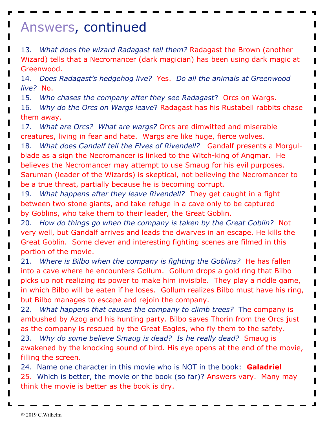### Answers, continued

13. *What does the wizard Radagast tell them?* Radagast the Brown (another Wizard) tells that a Necromancer (dark magician) has been using dark magic at Greenwood.

14. *Does Radagast's hedgehog live?* Yes. *Do all the animals at Greenwood live?* No.

15. *Who chases the company after they see Radagast*? Orcs on Wargs.

16. *Why do the Orcs on Wargs leave*? Radagast has his Rustabell rabbits chase them away.

17. *What are Orcs? What are wargs?* Orcs are dimwitted and miserable creatures, living in fear and hate. Wargs are like huge, fierce wolves.

18. *What does Gandalf tell the Elves of Rivendell?* Gandalf presents a Morgulblade as a sign the Necromancer is linked to the Witch-king of Angmar. He believes the Necromancer may attempt to use Smaug for his evil purposes. Saruman (leader of the Wizards) is skeptical, not believing the Necromancer to be a true threat, partially because he is becoming corrupt.

19. *What happens after they leave Rivendell?* They get caught in a fight between two stone giants, and take refuge in a cave only to be captured by Goblins, who take them to their leader, the Great Goblin.

20. *How do things go when the company is taken by the Great Goblin?* Not very well, but Gandalf arrives and leads the dwarves in an escape. He kills the Great Goblin. Some clever and interesting fighting scenes are filmed in this portion of the movie.

21. *Where is Bilbo when the company is fighting the Goblins?* He has fallen into a cave where he encounters Gollum. Gollum drops a gold ring that Bilbo picks up not realizing its power to make him invisible. They play a riddle game, in which Bilbo will be eaten if he loses. Gollum realizes Bilbo must have his ring, but Bilbo manages to escape and rejoin the company.

22. *What happens that causes the company to climb trees?* The company is ambushed by Azog and his hunting party. Bilbo saves Thorin from the Orcs just as the company is rescued by the Great Eagles, who fly them to the safety.

23. *Why do some believe Smaug is dead? Is he really dead?* Smaug is awakened by the knocking sound of bird. His eye opens at the end of the movie, filling the screen.

24. Name one character in this movie who is NOT in the book: **Galadriel** 25. Which is better, the movie or the book (so far)? Answers vary. Many may think the movie is better as the book is dry.